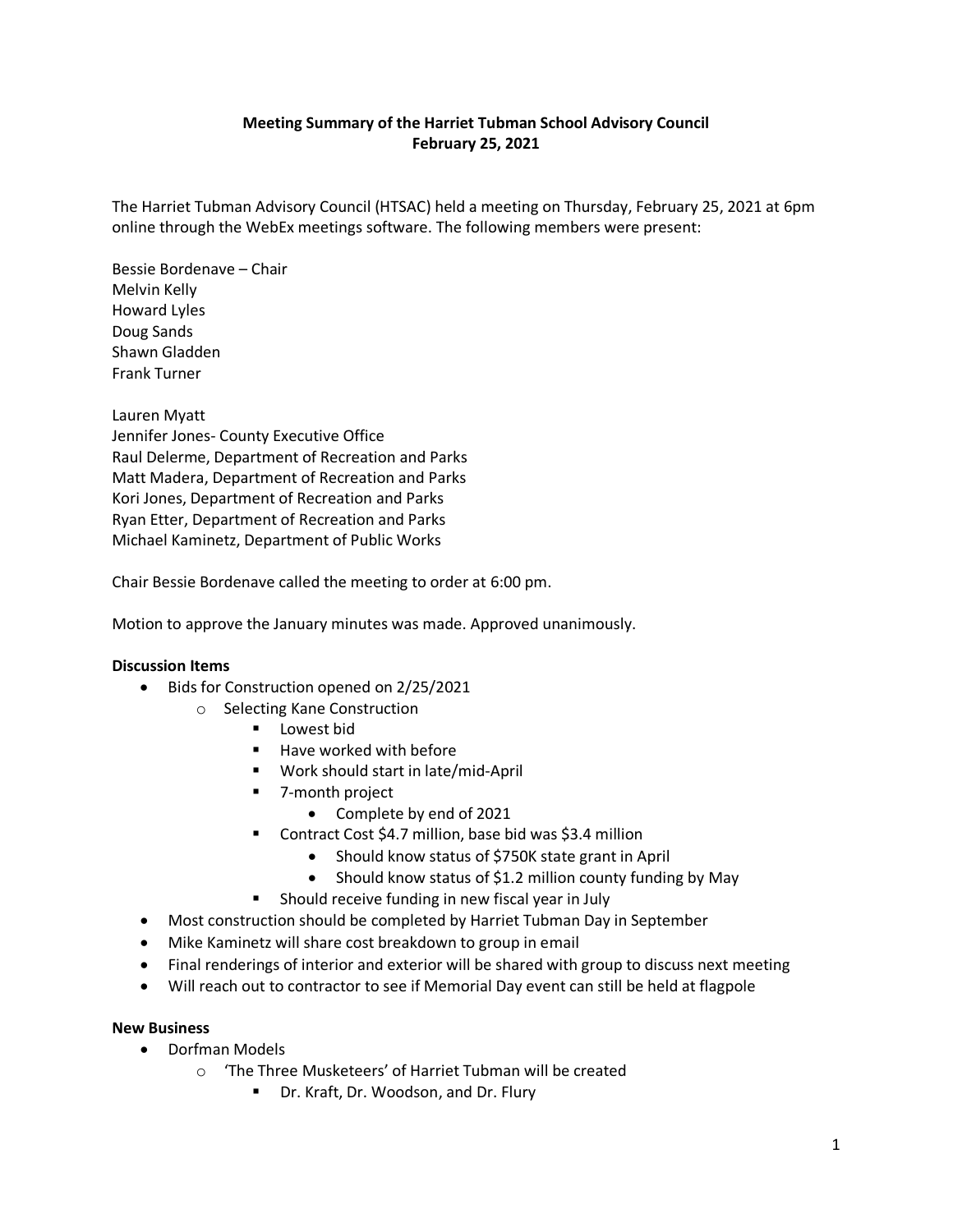## **Meeting Summary of the Harriet Tubman School Advisory Council February 25, 2021**

The Harriet Tubman Advisory Council (HTSAC) held a meeting on Thursday, February 25, 2021 at 6pm online through the WebEx meetings software. The following members were present:

Bessie Bordenave – Chair Melvin Kelly Howard Lyles Doug Sands Shawn Gladden Frank Turner

Lauren Myatt Jennifer Jones- County Executive Office Raul Delerme, Department of Recreation and Parks Matt Madera, Department of Recreation and Parks Kori Jones, Department of Recreation and Parks Ryan Etter, Department of Recreation and Parks Michael Kaminetz, Department of Public Works

Chair Bessie Bordenave called the meeting to order at 6:00 pm.

Motion to approve the January minutes was made. Approved unanimously.

## **Discussion Items**

- Bids for Construction opened on 2/25/2021
	- o Selecting Kane Construction
		- **Lowest bid**
		- Have worked with before
		- Work should start in late/mid-April
		- 7-month project
			- Complete by end of 2021
		- Contract Cost \$4.7 million, base bid was \$3.4 million
			- Should know status of \$750K state grant in April
			- Should know status of \$1.2 million county funding by May
		- **Should receive funding in new fiscal year in July**
- Most construction should be completed by Harriet Tubman Day in September
- Mike Kaminetz will share cost breakdown to group in email
- Final renderings of interior and exterior will be shared with group to discuss next meeting
- Will reach out to contractor to see if Memorial Day event can still be held at flagpole

## **New Business**

- Dorfman Models
	- o 'The Three Musketeers' of Harriet Tubman will be created
		- Dr. Kraft, Dr. Woodson, and Dr. Flury